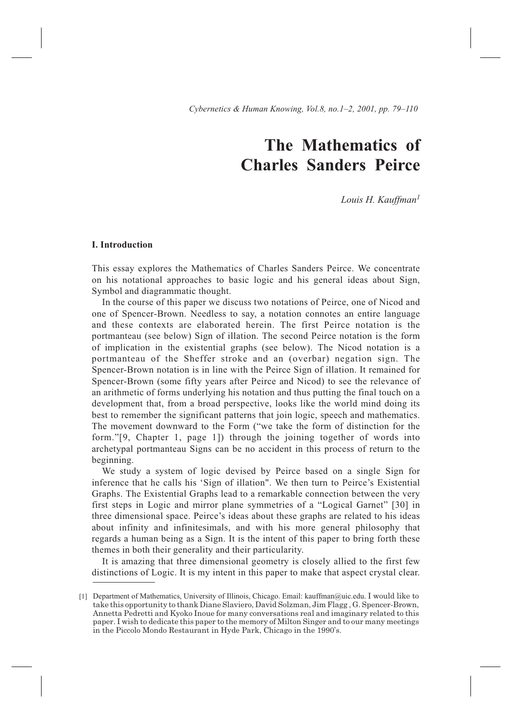*Cybernetics & Human Knowing, Vol.8, no.1–2, 2001, pp. 79–110*

# **The Mathematics of Charles Sanders Peirce**

*Louis H. Kauffman<sup>1</sup>*

## **I. Introduction**

This essay explores the Mathematics of Charles Sanders Peirce. We concentrate on his notational approaches to basic logic and his general ideas about Sign, Symbol and diagrammatic thought.

In the course of this paper we discuss two notations of Peirce, one of Nicod and one of Spencer-Brown. Needless to say, a notation connotes an entire language and these contexts are elaborated herein. The first Peirce notation is the portmanteau (see below) Sign of illation. The second Peirce notation is the form of implication in the existential graphs (see below). The Nicod notation is a portmanteau of the Sheffer stroke and an (overbar) negation sign. The Spencer-Brown notation is in line with the Peirce Sign of illation. It remained for Spencer-Brown (some fifty years after Peirce and Nicod) to see the relevance of an arithmetic of forms underlying his notation and thus putting the final touch on a development that, from a broad perspective, looks like the world mind doing its best to remember the significant patterns that join logic, speech and mathematics. The movement downward to the Form ("we take the form of distinction for the form."[9, Chapter 1, page 1]) through the joining together of words into archetypal portmanteau Signs can be no accident in this process of return to the beginning.

We study a system of logic devised by Peirce based on a single Sign for inference that he calls his 'Sign of illation". We then turn to Peirce's Existential Graphs. The Existential Graphs lead to a remarkable connection between the very first steps in Logic and mirror plane symmetries of a "Logical Garnet" [30] in three dimensional space. Peirce's ideas about these graphs are related to his ideas about infinity and infinitesimals, and with his more general philosophy that regards a human being as a Sign. It is the intent of this paper to bring forth these themes in both their generality and their particularity.

It is amazing that three dimensional geometry is closely allied to the first few distinctions of Logic. It is my intent in this paper to make that aspect crystal clear.

<sup>[1]</sup> Department of Mathematics, University of Illinois, Chicago. Email: kauffman@uic.edu. I would like to take this opportunity to thank Diane Slaviero, David Solzman, Jim Flagg , G. Spencer-Brown, Annetta Pedretti and Kyoko Inoue for many conversations real and imaginary related to this paper. I wish to dedicate this paper to the memory of Milton Singer and to our many meetings in the Piccolo Mondo Restaurant in Hyde Park, Chicago in the 1990's.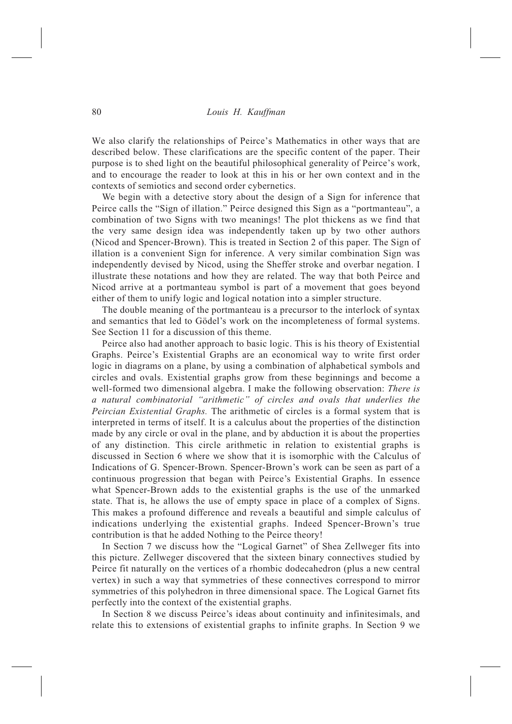We also clarify the relationships of Peirce's Mathematics in other ways that are described below. These clarifications are the specific content of the paper. Their purpose is to shed light on the beautiful philosophical generality of Peirce's work, and to encourage the reader to look at this in his or her own context and in the contexts of semiotics and second order cybernetics.

We begin with a detective story about the design of a Sign for inference that Peirce calls the "Sign of illation." Peirce designed this Sign as a "portmanteau", a combination of two Signs with two meanings! The plot thickens as we find that the very same design idea was independently taken up by two other authors (Nicod and Spencer-Brown). This is treated in Section 2 of this paper. The Sign of illation is a convenient Sign for inference. A very similar combination Sign was independently devised by Nicod, using the Sheffer stroke and overbar negation. I illustrate these notations and how they are related. The way that both Peirce and Nicod arrive at a portmanteau symbol is part of a movement that goes beyond either of them to unify logic and logical notation into a simpler structure.

The double meaning of the portmanteau is a precursor to the interlock of syntax and semantics that led to Gödel's work on the incompleteness of formal systems. See Section 11 for a discussion of this theme.

Peirce also had another approach to basic logic. This is his theory of Existential Graphs. Peirce's Existential Graphs are an economical way to write first order logic in diagrams on a plane, by using a combination of alphabetical symbols and circles and ovals. Existential graphs grow from these beginnings and become a well-formed two dimensional algebra. I make the following observation: *There is a natural combinatorial "arithmetic" of circles and ovals that underlies the Peircian Existential Graphs.* The arithmetic of circles is a formal system that is interpreted in terms of itself. It is a calculus about the properties of the distinction made by any circle or oval in the plane, and by abduction it is about the properties of any distinction. This circle arithmetic in relation to existential graphs is discussed in Section 6 where we show that it is isomorphic with the Calculus of Indications of G. Spencer-Brown. Spencer-Brown's work can be seen as part of a continuous progression that began with Peirce's Existential Graphs. In essence what Spencer-Brown adds to the existential graphs is the use of the unmarked state. That is, he allows the use of empty space in place of a complex of Signs. This makes a profound difference and reveals a beautiful and simple calculus of indications underlying the existential graphs. Indeed Spencer-Brown's true contribution is that he added Nothing to the Peirce theory!

In Section 7 we discuss how the "Logical Garnet" of Shea Zellweger fits into this picture. Zellweger discovered that the sixteen binary connectives studied by Peirce fit naturally on the vertices of a rhombic dodecahedron (plus a new central vertex) in such a way that symmetries of these connectives correspond to mirror symmetries of this polyhedron in three dimensional space. The Logical Garnet fits perfectly into the context of the existential graphs.

In Section 8 we discuss Peirce's ideas about continuity and infinitesimals, and relate this to extensions of existential graphs to infinite graphs. In Section 9 we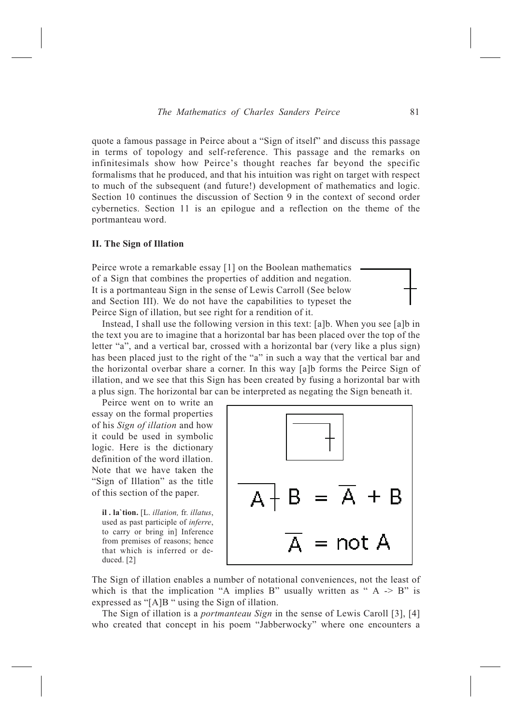quote a famous passage in Peirce about a "Sign of itself" and discuss this passage in terms of topology and self-reference. This passage and the remarks on infinitesimals show how Peirce's thought reaches far beyond the specific formalisms that he produced, and that his intuition was right on target with respect to much of the subsequent (and future!) development of mathematics and logic. Section 10 continues the discussion of Section 9 in the context of second order cybernetics. Section 11 is an epilogue and a reflection on the theme of the portmanteau word.

## **II. The Sign of Illation**

Peirce wrote a remarkable essay [1] on the Boolean mathematics of a Sign that combines the properties of addition and negation. It is a portmanteau Sign in the sense of Lewis Carroll (See below and Section III). We do not have the capabilities to typeset the Peirce Sign of illation, but see right for a rendition of it.

Instead, I shall use the following version in this text: [a]b. When you see [a]b in the text you are to imagine that a horizontal bar has been placed over the top of the letter "a", and a vertical bar, crossed with a horizontal bar (very like a plus sign) has been placed just to the right of the "a" in such a way that the vertical bar and the horizontal overbar share a corner. In this way [a]b forms the Peirce Sign of illation, and we see that this Sign has been created by fusing a horizontal bar with a plus sign. The horizontal bar can be interpreted as negating the Sign beneath it.

Peirce went on to write an essay on the formal properties of his *Sign of illation* and how it could be used in symbolic logic. Here is the dictionary definition of the word illation. Note that we have taken the "Sign of Illation" as the title of this section of the paper.

**il . la`tion.** [L. *illation,* fr. *illatus*, used as past participle of *inferre*, to carry or bring in] Inference from premises of reasons; hence that which is inferred or deduced. [2]



The Sign of illation enables a number of notational conveniences, not the least of which is that the implication "A implies B" usually written as " $A \rightarrow B$ " is expressed as "[A]B " using the Sign of illation.

The Sign of illation is a *portmanteau Sign* in the sense of Lewis Caroll [3], [4] who created that concept in his poem "Jabberwocky" where one encounters a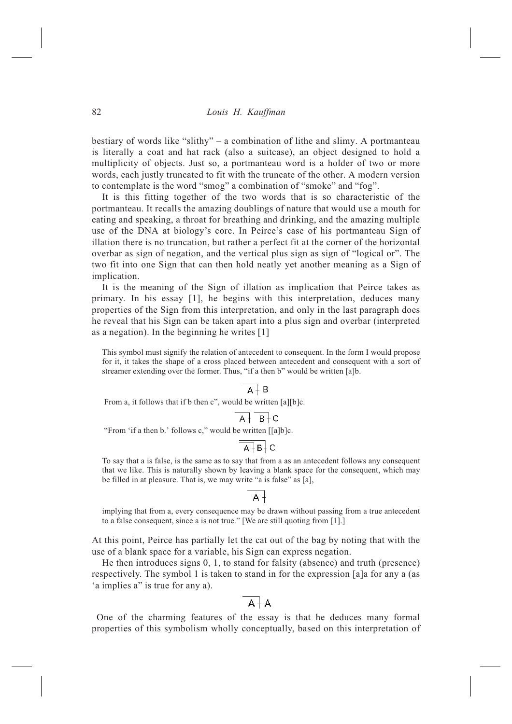bestiary of words like "slithy" – a combination of lithe and slimy. A portmanteau is literally a coat and hat rack (also a suitcase), an object designed to hold a multiplicity of objects. Just so, a portmanteau word is a holder of two or more words, each justly truncated to fit with the truncate of the other. A modern version to contemplate is the word "smog" a combination of "smoke" and "fog".

It is this fitting together of the two words that is so characteristic of the portmanteau. It recalls the amazing doublings of nature that would use a mouth for eating and speaking, a throat for breathing and drinking, and the amazing multiple use of the DNA at biology's core. In Peirce's case of his portmanteau Sign of illation there is no truncation, but rather a perfect fit at the corner of the horizontal overbar as sign of negation, and the vertical plus sign as sign of "logical or". The two fit into one Sign that can then hold neatly yet another meaning as a Sign of implication.

It is the meaning of the Sign of illation as implication that Peirce takes as primary. In his essay [1], he begins with this interpretation, deduces many properties of the Sign from this interpretation, and only in the last paragraph does he reveal that his Sign can be taken apart into a plus sign and overbar (interpreted as a negation). In the beginning he writes [1]

This symbol must signify the relation of antecedent to consequent. In the form I would propose for it, it takes the shape of a cross placed between antecedent and consequent with a sort of streamer extending over the former. Thus, "if a then b" would be written [a]b.

### $A + B$

From a, it follows that if b then c", would be written [a][b]c.

$$
\mathsf{A} \vdash \mathsf{B} \vdash \mathsf{C}
$$

"From 'if a then b.' follows c," would be written [[a]b]c.

## $\overline{A}$  + B + C

To say that a is false, is the same as to say that from a as an antecedent follows any consequent that we like. This is naturally shown by leaving a blank space for the consequent, which may be filled in at pleasure. That is, we may write "a is false" as [a],

## A i

implying that from a, every consequence may be drawn without passing from a true antecedent to a false consequent, since a is not true." [We are still quoting from [1].]

At this point, Peirce has partially let the cat out of the bag by noting that with the use of a blank space for a variable, his Sign can express negation.

He then introduces signs 0, 1, to stand for falsity (absence) and truth (presence) respectively. The symbol 1 is taken to stand in for the expression [a]a for any a (as 'a implies a" is true for any a).

## $\mathsf{A} \mathsf{+} \mathsf{A}$

One of the charming features of the essay is that he deduces many formal properties of this symbolism wholly conceptually, based on this interpretation of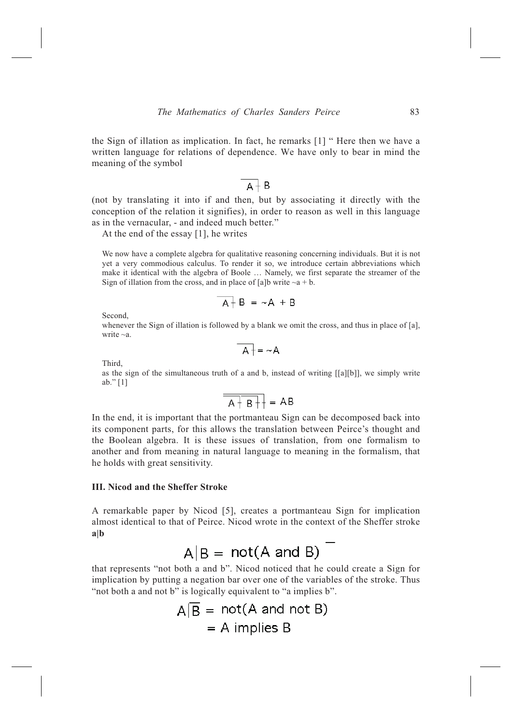the Sign of illation as implication. In fact, he remarks [1] " Here then we have a written language for relations of dependence. We have only to bear in mind the meaning of the symbol

 $\overline{A}$  + B

(not by translating it into if and then, but by associating it directly with the conception of the relation it signifies), in order to reason as well in this language as in the vernacular, - and indeed much better."

At the end of the essay [1], he writes

We now have a complete algebra for qualitative reasoning concerning individuals. But it is not yet a very commodious calculus. To render it so, we introduce certain abbreviations which make it identical with the algebra of Boole … Namely, we first separate the streamer of the Sign of illation from the cross, and in place of [a]b write  $\sim a + b$ .

$$
A + B = \sim A + B
$$

Second,

whenever the Sign of illation is followed by a blank we omit the cross, and thus in place of [a], write ~a.

$$
\overline{A} = \sim A
$$

Third,

as the sign of the simultaneous truth of a and b, instead of writing [[a][b]], we simply write ab." [1]

$$
\overline{A+B+} = AB
$$

In the end, it is important that the portmanteau Sign can be decomposed back into its component parts, for this allows the translation between Peirce's thought and the Boolean algebra. It is these issues of translation, from one formalism to another and from meaning in natural language to meaning in the formalism, that he holds with great sensitivity.

## **III. Nicod and the Sheffer Stroke**

A remarkable paper by Nicod [5], creates a portmanteau Sign for implication almost identical to that of Peirce. Nicod wrote in the context of the Sheffer stroke **a|b**

## $A|B = not(A and B)$

that represents "not both a and b". Nicod noticed that he could create a Sign for implication by putting a negation bar over one of the variables of the stroke. Thus "not both a and not b" is logically equivalent to "a implies b".

$$
A\overline{B} = \text{not}(A \text{ and not } B)
$$
  
= A implies B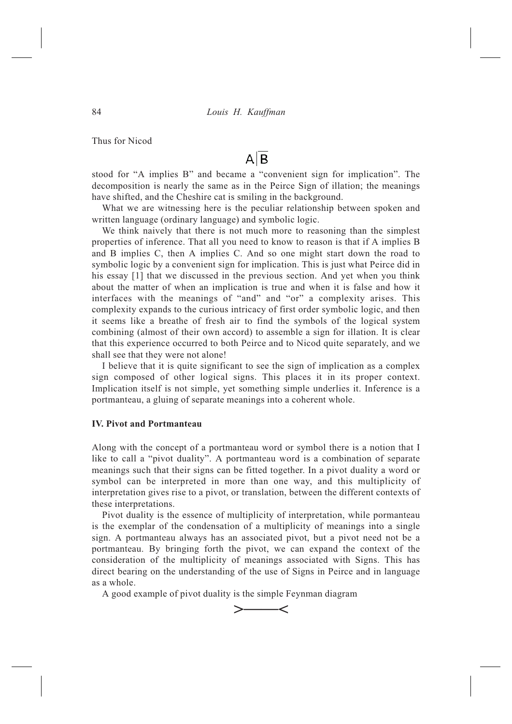Thus for Nicod

## $A\overline{B}$

stood for "A implies B" and became a "convenient sign for implication". The decomposition is nearly the same as in the Peirce Sign of illation; the meanings have shifted, and the Cheshire cat is smiling in the background.

What we are witnessing here is the peculiar relationship between spoken and written language (ordinary language) and symbolic logic.

We think naively that there is not much more to reasoning than the simplest properties of inference. That all you need to know to reason is that if A implies B and B implies C, then A implies C. And so one might start down the road to symbolic logic by a convenient sign for implication. This is just what Peirce did in his essay [1] that we discussed in the previous section. And yet when you think about the matter of when an implication is true and when it is false and how it interfaces with the meanings of "and" and "or" a complexity arises. This complexity expands to the curious intricacy of first order symbolic logic, and then it seems like a breathe of fresh air to find the symbols of the logical system combining (almost of their own accord) to assemble a sign for illation. It is clear that this experience occurred to both Peirce and to Nicod quite separately, and we shall see that they were not alone!

I believe that it is quite significant to see the sign of implication as a complex sign composed of other logical signs. This places it in its proper context. Implication itself is not simple, yet something simple underlies it. Inference is a portmanteau, a gluing of separate meanings into a coherent whole.

#### **IV. Pivot and Portmanteau**

Along with the concept of a portmanteau word or symbol there is a notion that I like to call a "pivot duality". A portmanteau word is a combination of separate meanings such that their signs can be fitted together. In a pivot duality a word or symbol can be interpreted in more than one way, and this multiplicity of interpretation gives rise to a pivot, or translation, between the different contexts of these interpretations.

Pivot duality is the essence of multiplicity of interpretation, while pormanteau is the exemplar of the condensation of a multiplicity of meanings into a single sign. A portmanteau always has an associated pivot, but a pivot need not be a portmanteau. By bringing forth the pivot, we can expand the context of the consideration of the multiplicity of meanings associated with Signs. This has direct bearing on the understanding of the use of Signs in Peirce and in language as a whole.

**>——<**

A good example of pivot duality is the simple Feynman diagram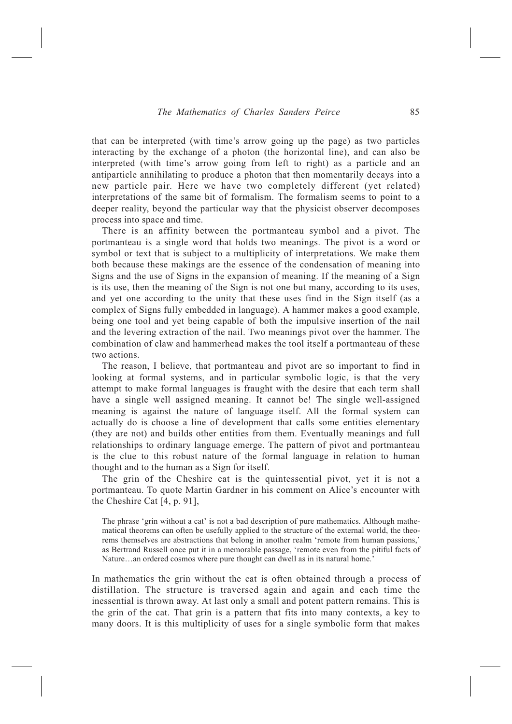that can be interpreted (with time's arrow going up the page) as two particles interacting by the exchange of a photon (the horizontal line), and can also be interpreted (with time's arrow going from left to right) as a particle and an antiparticle annihilating to produce a photon that then momentarily decays into a new particle pair. Here we have two completely different (yet related) interpretations of the same bit of formalism. The formalism seems to point to a deeper reality, beyond the particular way that the physicist observer decomposes process into space and time.

There is an affinity between the portmanteau symbol and a pivot. The portmanteau is a single word that holds two meanings. The pivot is a word or symbol or text that is subject to a multiplicity of interpretations. We make them both because these makings are the essence of the condensation of meaning into Signs and the use of Signs in the expansion of meaning. If the meaning of a Sign is its use, then the meaning of the Sign is not one but many, according to its uses, and yet one according to the unity that these uses find in the Sign itself (as a complex of Signs fully embedded in language). A hammer makes a good example, being one tool and yet being capable of both the impulsive insertion of the nail and the levering extraction of the nail. Two meanings pivot over the hammer. The combination of claw and hammerhead makes the tool itself a portmanteau of these two actions.

The reason, I believe, that portmanteau and pivot are so important to find in looking at formal systems, and in particular symbolic logic, is that the very attempt to make formal languages is fraught with the desire that each term shall have a single well assigned meaning. It cannot be! The single well-assigned meaning is against the nature of language itself. All the formal system can actually do is choose a line of development that calls some entities elementary (they are not) and builds other entities from them. Eventually meanings and full relationships to ordinary language emerge. The pattern of pivot and portmanteau is the clue to this robust nature of the formal language in relation to human thought and to the human as a Sign for itself.

The grin of the Cheshire cat is the quintessential pivot, yet it is not a portmanteau. To quote Martin Gardner in his comment on Alice's encounter with the Cheshire Cat [4, p. 91],

The phrase 'grin without a cat' is not a bad description of pure mathematics. Although mathematical theorems can often be usefully applied to the structure of the external world, the theorems themselves are abstractions that belong in another realm 'remote from human passions,' as Bertrand Russell once put it in a memorable passage, 'remote even from the pitiful facts of Nature…an ordered cosmos where pure thought can dwell as in its natural home.

In mathematics the grin without the cat is often obtained through a process of distillation. The structure is traversed again and again and each time the inessential is thrown away. At last only a small and potent pattern remains. This is the grin of the cat. That grin is a pattern that fits into many contexts, a key to many doors. It is this multiplicity of uses for a single symbolic form that makes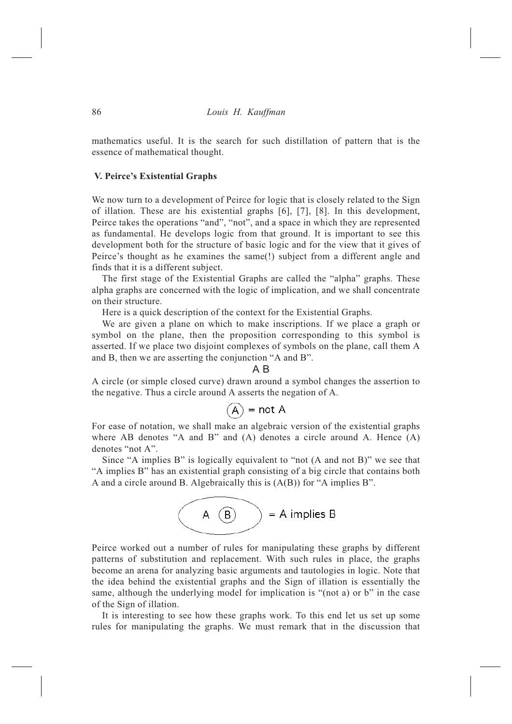mathematics useful. It is the search for such distillation of pattern that is the essence of mathematical thought.

#### **V. Peirce's Existential Graphs**

We now turn to a development of Peirce for logic that is closely related to the Sign of illation. These are his existential graphs [6], [7], [8]. In this development, Peirce takes the operations "and", "not", and a space in which they are represented as fundamental. He develops logic from that ground. It is important to see this development both for the structure of basic logic and for the view that it gives of Peirce's thought as he examines the same(!) subject from a different angle and finds that it is a different subject.

The first stage of the Existential Graphs are called the "alpha" graphs. These alpha graphs are concerned with the logic of implication, and we shall concentrate on their structure.

Here is a quick description of the context for the Existential Graphs.

We are given a plane on which to make inscriptions. If we place a graph or symbol on the plane, then the proposition corresponding to this symbol is asserted. If we place two disjoint complexes of symbols on the plane, call them A and B, then we are asserting the conjunction "A and B".

#### A B

A circle (or simple closed curve) drawn around a symbol changes the assertion to the negative. Thus a circle around A asserts the negation of A.

$$
\textcircled{A} = \text{not } A
$$

For ease of notation, we shall make an algebraic version of the existential graphs where AB denotes "A and B" and  $(A)$  denotes a circle around A. Hence  $(A)$ denotes "not A".

Since "A implies B" is logically equivalent to "not (A and not B)" we see that "A implies B" has an existential graph consisting of a big circle that contains both A and a circle around B. Algebraically this is (A(B)) for "A implies B".



Peirce worked out a number of rules for manipulating these graphs by different patterns of substitution and replacement. With such rules in place, the graphs become an arena for analyzing basic arguments and tautologies in logic. Note that the idea behind the existential graphs and the Sign of illation is essentially the same, although the underlying model for implication is "(not a) or b" in the case of the Sign of illation.

It is interesting to see how these graphs work. To this end let us set up some rules for manipulating the graphs. We must remark that in the discussion that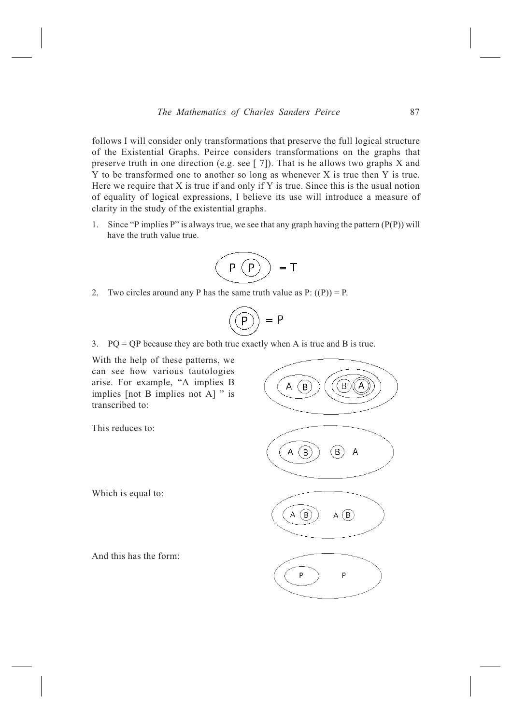follows I will consider only transformations that preserve the full logical structure of the Existential Graphs. Peirce considers transformations on the graphs that preserve truth in one direction (e.g. see [ 7]). That is he allows two graphs X and Y to be transformed one to another so long as whenever X is true then Y is true. Here we require that  $X$  is true if and only if  $Y$  is true. Since this is the usual notion of equality of logical expressions, I believe its use will introduce a measure of clarity in the study of the existential graphs.

1. Since "P implies P" is always true, we see that any graph having the pattern  $(P(P))$  will have the truth value true.

$$
\left(\begin{array}{c}\n\mathsf{P} \mathsf{P}\n\end{array}\right) = \mathsf{T}
$$

2. Two circles around any P has the same truth value as  $P: ((P)) = P$ .

$$
\left(\overline{P}\right) = P
$$

3.  $PQ = QP$  because they are both true exactly when A is true and B is true.

With the help of these patterns, we can see how various tautologies arise. For example, "A implies B implies [not B implies not A] " is transcribed to:

This reduces to:

Which is equal to:

And this has the form:

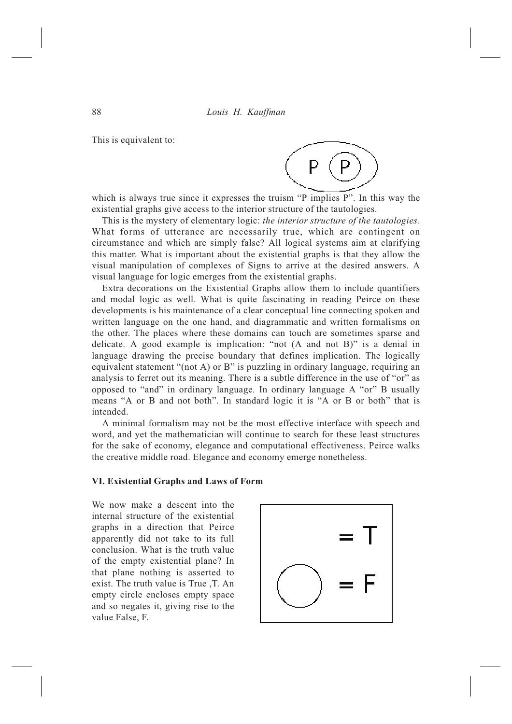This is equivalent to:



which is always true since it expresses the truism "P implies P". In this way the existential graphs give access to the interior structure of the tautologies.

This is the mystery of elementary logic: *the interior structure of the tautologies.* What forms of utterance are necessarily true, which are contingent on circumstance and which are simply false? All logical systems aim at clarifying this matter. What is important about the existential graphs is that they allow the visual manipulation of complexes of Signs to arrive at the desired answers. A visual language for logic emerges from the existential graphs.

Extra decorations on the Existential Graphs allow them to include quantifiers and modal logic as well. What is quite fascinating in reading Peirce on these developments is his maintenance of a clear conceptual line connecting spoken and written language on the one hand, and diagrammatic and written formalisms on the other. The places where these domains can touch are sometimes sparse and delicate. A good example is implication: "not (A and not B)" is a denial in language drawing the precise boundary that defines implication. The logically equivalent statement "(not A) or B" is puzzling in ordinary language, requiring an analysis to ferret out its meaning. There is a subtle difference in the use of "or" as opposed to "and" in ordinary language. In ordinary language A "or" B usually means "A or B and not both". In standard logic it is "A or B or both" that is intended.

A minimal formalism may not be the most effective interface with speech and word, and yet the mathematician will continue to search for these least structures for the sake of economy, elegance and computational effectiveness. Peirce walks the creative middle road. Elegance and economy emerge nonetheless.

#### **VI. Existential Graphs and Laws of Form**

We now make a descent into the internal structure of the existential graphs in a direction that Peirce apparently did not take to its full conclusion. What is the truth value of the empty existential plane? In that plane nothing is asserted to exist. The truth value is True ,T. An empty circle encloses empty space and so negates it, giving rise to the value False, F.

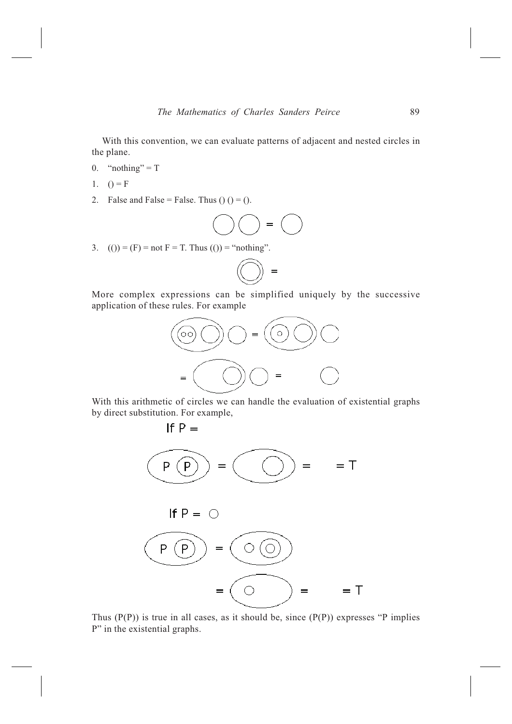With this convention, we can evaluate patterns of adjacent and nested circles in the plane.

- 0. "nothing" =  $T$
- 1.  $() = F$
- 2. False and False = False. Thus  $() () = ()$ .

$$
\bigcirc \bigcirc = \bigcirc
$$

3. (()) = (F) = not F = T. Thus (()) = "nothing".

More complex expressions can be simplified uniquely by the successive application of these rules. For example



With this arithmetic of circles we can handle the evaluation of existential graphs by direct substitution. For example,

If  $P =$ 



Thus  $(P(P))$  is true in all cases, as it should be, since  $(P(P))$  expresses "P implies P" in the existential graphs.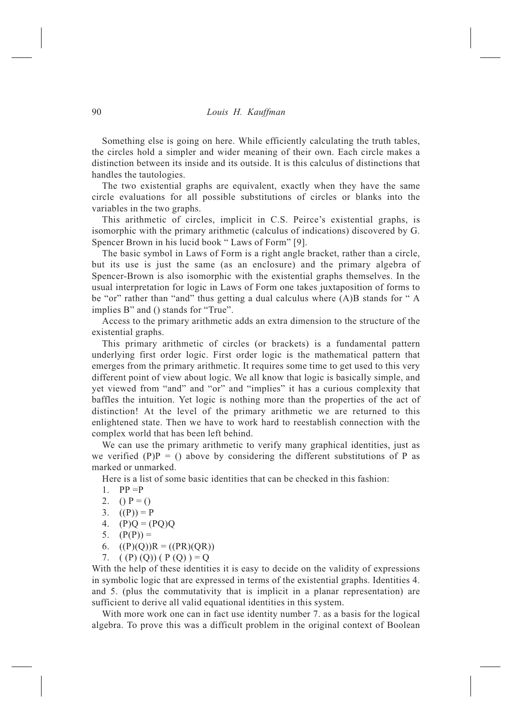Something else is going on here. While efficiently calculating the truth tables, the circles hold a simpler and wider meaning of their own. Each circle makes a distinction between its inside and its outside. It is this calculus of distinctions that handles the tautologies.

The two existential graphs are equivalent, exactly when they have the same circle evaluations for all possible substitutions of circles or blanks into the variables in the two graphs.

This arithmetic of circles, implicit in C.S. Peirce's existential graphs, is isomorphic with the primary arithmetic (calculus of indications) discovered by G. Spencer Brown in his lucid book " Laws of Form" [9].

The basic symbol in Laws of Form is a right angle bracket, rather than a circle, but its use is just the same (as an enclosure) and the primary algebra of Spencer-Brown is also isomorphic with the existential graphs themselves. In the usual interpretation for logic in Laws of Form one takes juxtaposition of forms to be "or" rather than "and" thus getting a dual calculus where (A)B stands for " A implies B" and () stands for "True".

Access to the primary arithmetic adds an extra dimension to the structure of the existential graphs.

This primary arithmetic of circles (or brackets) is a fundamental pattern underlying first order logic. First order logic is the mathematical pattern that emerges from the primary arithmetic. It requires some time to get used to this very different point of view about logic. We all know that logic is basically simple, and yet viewed from "and" and "or" and "implies" it has a curious complexity that baffles the intuition. Yet logic is nothing more than the properties of the act of distinction! At the level of the primary arithmetic we are returned to this enlightened state. Then we have to work hard to reestablish connection with the complex world that has been left behind.

We can use the primary arithmetic to verify many graphical identities, just as we verified (P)P = () above by considering the different substitutions of P as marked or unmarked.

Here is a list of some basic identities that can be checked in this fashion:

- 2. ()  $P = ()$
- 3.  $((P)) = P$
- 4.  $(P)Q = (PQ)Q$
- 5.  $(P(P)) =$
- 6.  $((P)(Q))R = ((PR)(QR))$
- 7.  $((P)(Q))(P(Q)) = Q$

With the help of these identities it is easy to decide on the validity of expressions in symbolic logic that are expressed in terms of the existential graphs. Identities 4. and 5. (plus the commutativity that is implicit in a planar representation) are sufficient to derive all valid equational identities in this system.

With more work one can in fact use identity number 7. as a basis for the logical algebra. To prove this was a difficult problem in the original context of Boolean

<sup>1.</sup>  $PP = P$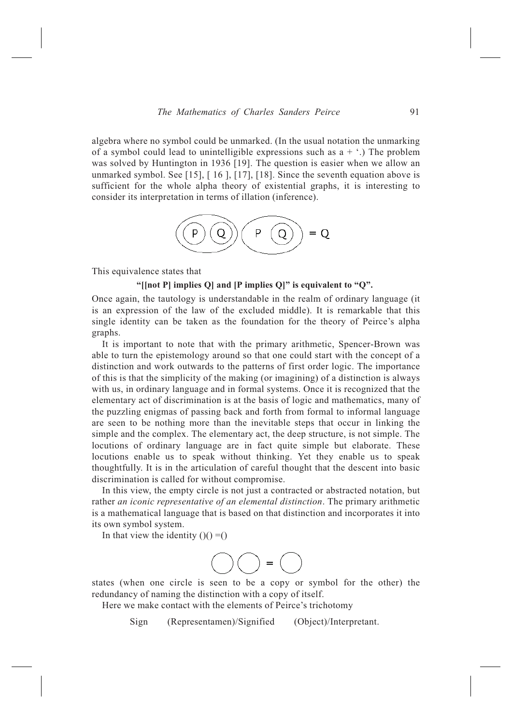algebra where no symbol could be unmarked. (In the usual notation the unmarking of a symbol could lead to unintelligible expressions such as  $a + \lambda$ .) The problem was solved by Huntington in 1936 [19]. The question is easier when we allow an unmarked symbol. See [15], [ 16 ], [17], [18]. Since the seventh equation above is sufficient for the whole alpha theory of existential graphs, it is interesting to consider its interpretation in terms of illation (inference).



This equivalence states that

#### **"[[not P] implies Q] and [P implies Q]" is equivalent to "Q".**

Once again, the tautology is understandable in the realm of ordinary language (it is an expression of the law of the excluded middle). It is remarkable that this single identity can be taken as the foundation for the theory of Peirce's alpha graphs.

It is important to note that with the primary arithmetic, Spencer-Brown was able to turn the epistemology around so that one could start with the concept of a distinction and work outwards to the patterns of first order logic. The importance of this is that the simplicity of the making (or imagining) of a distinction is always with us, in ordinary language and in formal systems. Once it is recognized that the elementary act of discrimination is at the basis of logic and mathematics, many of the puzzling enigmas of passing back and forth from formal to informal language are seen to be nothing more than the inevitable steps that occur in linking the simple and the complex. The elementary act, the deep structure, is not simple. The locutions of ordinary language are in fact quite simple but elaborate. These locutions enable us to speak without thinking. Yet they enable us to speak thoughtfully. It is in the articulation of careful thought that the descent into basic discrimination is called for without compromise.

In this view, the empty circle is not just a contracted or abstracted notation, but rather *an iconic representative of an elemental distinction*. The primary arithmetic is a mathematical language that is based on that distinction and incorporates it into its own symbol system.

In that view the identity  $( ) ( ) = ( )$ 



states (when one circle is seen to be a copy or symbol for the other) the redundancy of naming the distinction with a copy of itself.

Here we make contact with the elements of Peirce's trichotomy

Sign (Representamen)/Signified (Object)/Interpretant.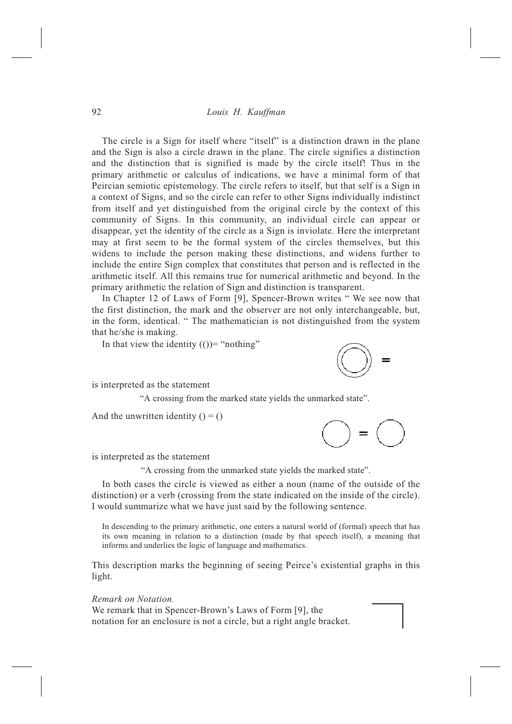The circle is a Sign for itself where "itself" is a distinction drawn in the plane and the Sign is also a circle drawn in the plane. The circle signifies a distinction and the distinction that is signified is made by the circle itself! Thus in the primary arithmetic or calculus of indications, we have a minimal form of that Peircian semiotic epistemology. The circle refers to itself, but that self is a Sign in a context of Signs, and so the circle can refer to other Signs individually indistinct from itself and yet distinguished from the original circle by the context of this community of Signs. In this community, an individual circle can appear or disappear, yet the identity of the circle as a Sign is inviolate. Here the interpretant may at first seem to be the formal system of the circles themselves, but this widens to include the person making these distinctions, and widens further to include the entire Sign complex that constitutes that person and is reflected in the arithmetic itself. All this remains true for numerical arithmetic and beyond. In the primary arithmetic the relation of Sign and distinction is transparent.

In Chapter 12 of Laws of Form [9], Spencer-Brown writes " We see now that the first distinction, the mark and the observer are not only interchangeable, but, in the form, identical. " The mathematician is not distinguished from the system that he/she is making.

In that view the identity  $($ ) = "nothing"



is interpreted as the statement

"A crossing from the marked state yields the unmarked state".

And the unwritten identity  $() = ()$ 



is interpreted as the statement

"A crossing from the unmarked state yields the marked state".

In both cases the circle is viewed as either a noun (name of the outside of the distinction) or a verb (crossing from the state indicated on the inside of the circle). I would summarize what we have just said by the following sentence.

In descending to the primary arithmetic, one enters a natural world of (formal) speech that has its own meaning in relation to a distinction (made by that speech itself), a meaning that informs and underlies the logic of language and mathematics.

This description marks the beginning of seeing Peirce's existential graphs in this light.

## *Remark on Notation.*

We remark that in Spencer-Brown's Laws of Form [9], the notation for an enclosure is not a circle, but a right angle bracket.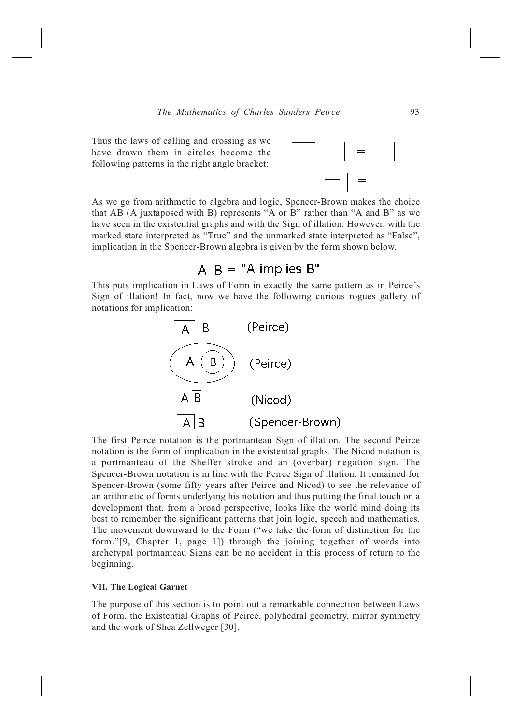Thus the laws of calling and crossing as we have drawn them in circles become the following patterns in the right angle bracket:



As we go from arithmetic to algebra and logic, Spencer-Brown makes the choice that AB (A juxtaposed with B) represents "A or B" rather than "A and B" as we have seen in the existential graphs and with the Sign of illation. However, with the marked state interpreted as "True" and the unmarked state interpreted as "False", implication in the Spencer-Brown algebra is given by the form shown below.

## $\overline{A}$  B = "A implies B"

This puts implication in Laws of Form in exactly the same pattern as in Peirce's Sign of illation! In fact, now we have the following curious rogues gallery of notations for implication:



The first Peirce notation is the portmanteau Sign of illation. The second Peirce notation is the form of implication in the existential graphs. The Nicod notation is a portmanteau of the Sheffer stroke and an (overbar) negation sign. The Spencer-Brown notation is in line with the Peirce Sign of illation. It remained for Spencer-Brown (some fifty years after Peirce and Nicod) to see the relevance of an arithmetic of forms underlying his notation and thus putting the final touch on a development that, from a broad perspective, looks like the world mind doing its best to remember the significant patterns that join logic, speech and mathematics. The movement downward to the Form ("we take the form of distinction for the form."[9, Chapter 1, page 1]) through the joining together of words into archetypal portmanteau Signs can be no accident in this process of return to the beginning.

## **VII. The Logical Garnet**

The purpose of this section is to point out a remarkable connection between Laws of Form, the Existential Graphs of Peirce, polyhedral geometry, mirror symmetry and the work of Shea Zellweger [30].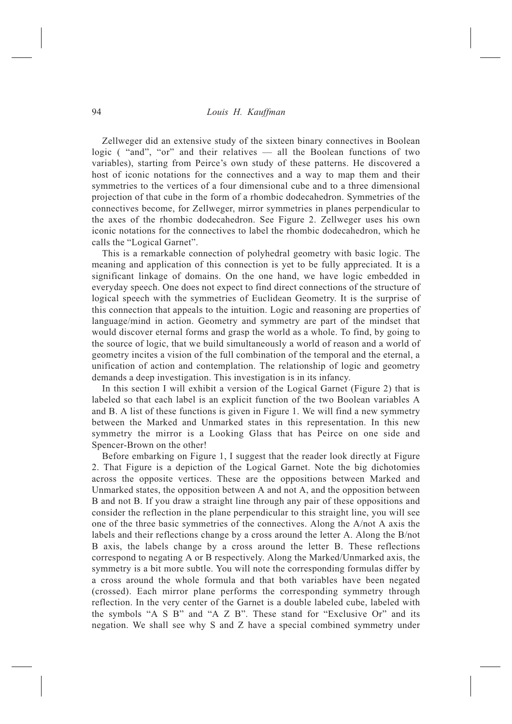Zellweger did an extensive study of the sixteen binary connectives in Boolean logic ( "and", "or" and their relatives — all the Boolean functions of two variables), starting from Peirce's own study of these patterns. He discovered a host of iconic notations for the connectives and a way to map them and their symmetries to the vertices of a four dimensional cube and to a three dimensional projection of that cube in the form of a rhombic dodecahedron. Symmetries of the connectives become, for Zellweger, mirror symmetries in planes perpendicular to the axes of the rhombic dodecahedron. See Figure 2. Zellweger uses his own iconic notations for the connectives to label the rhombic dodecahedron, which he calls the "Logical Garnet".

This is a remarkable connection of polyhedral geometry with basic logic. The meaning and application of this connection is yet to be fully appreciated. It is a significant linkage of domains. On the one hand, we have logic embedded in everyday speech. One does not expect to find direct connections of the structure of logical speech with the symmetries of Euclidean Geometry. It is the surprise of this connection that appeals to the intuition. Logic and reasoning are properties of language/mind in action. Geometry and symmetry are part of the mindset that would discover eternal forms and grasp the world as a whole. To find, by going to the source of logic, that we build simultaneously a world of reason and a world of geometry incites a vision of the full combination of the temporal and the eternal, a unification of action and contemplation. The relationship of logic and geometry demands a deep investigation. This investigation is in its infancy.

In this section I will exhibit a version of the Logical Garnet (Figure 2) that is labeled so that each label is an explicit function of the two Boolean variables A and B. A list of these functions is given in Figure 1. We will find a new symmetry between the Marked and Unmarked states in this representation. In this new symmetry the mirror is a Looking Glass that has Peirce on one side and Spencer-Brown on the other!

Before embarking on Figure 1, I suggest that the reader look directly at Figure 2. That Figure is a depiction of the Logical Garnet. Note the big dichotomies across the opposite vertices. These are the oppositions between Marked and Unmarked states, the opposition between A and not A, and the opposition between B and not B. If you draw a straight line through any pair of these oppositions and consider the reflection in the plane perpendicular to this straight line, you will see one of the three basic symmetries of the connectives. Along the A/not A axis the labels and their reflections change by a cross around the letter A. Along the B/not B axis, the labels change by a cross around the letter B. These reflections correspond to negating A or B respectively. Along the Marked/Unmarked axis, the symmetry is a bit more subtle. You will note the corresponding formulas differ by a cross around the whole formula and that both variables have been negated (crossed). Each mirror plane performs the corresponding symmetry through reflection. In the very center of the Garnet is a double labeled cube, labeled with the symbols "A S B" and "A Z B". These stand for "Exclusive Or" and its negation. We shall see why S and Z have a special combined symmetry under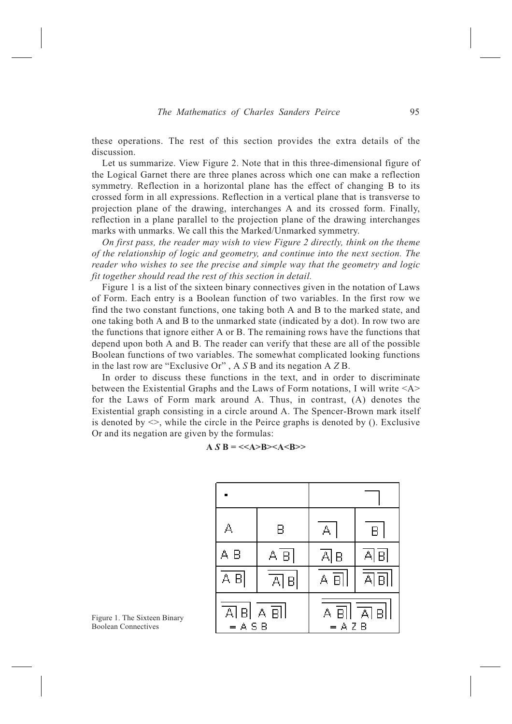these operations. The rest of this section provides the extra details of the discussion.

Let us summarize. View Figure 2. Note that in this three-dimensional figure of the Logical Garnet there are three planes across which one can make a reflection symmetry. Reflection in a horizontal plane has the effect of changing B to its crossed form in all expressions. Reflection in a vertical plane that is transverse to projection plane of the drawing, interchanges A and its crossed form. Finally, reflection in a plane parallel to the projection plane of the drawing interchanges marks with unmarks. We call this the Marked/Unmarked symmetry.

*On first pass, the reader may wish to view Figure 2 directly, think on the theme of the relationship of logic and geometry, and continue into the next section. The reader who wishes to see the precise and simple way that the geometry and logic fit together should read the rest of this section in detail.*

Figure 1 is a list of the sixteen binary connectives given in the notation of Laws of Form. Each entry is a Boolean function of two variables. In the first row we find the two constant functions, one taking both A and B to the marked state, and one taking both A and B to the unmarked state (indicated by a dot). In row two are the functions that ignore either A or B. The remaining rows have the functions that depend upon both A and B. The reader can verify that these are all of the possible Boolean functions of two variables. The somewhat complicated looking functions in the last row are "Exclusive Or" , A *S* B and its negation A *Z* B.

In order to discuss these functions in the text, and in order to discriminate between the Existential Graphs and the Laws of Form notations, I will write  $\langle A \rangle$ for the Laws of Form mark around A. Thus, in contrast, (A) denotes the Existential graph consisting in a circle around A. The Spencer-Brown mark itself is denoted by  $\leq$ , while the circle in the Peirce graphs is denoted by (). Exclusive Or and its negation are given by the formulas:

## **A**  $S$  **B** =  $\leq$   $\leq$   $A$   $>$  **B** $\geq$   $\leq$   $A$   $\leq$  **B** $\geq$

|                      | В                | A.                                           | В.              |
|----------------------|------------------|----------------------------------------------|-----------------|
| AΒ                   | $A \overline{B}$ | ĀВ                                           | 지미              |
| $\overline{AB}$      | 지비               | $\overline{AB}$                              | $\overline{AB}$ |
| 지비 A BI<br>$= A S B$ |                  | $\overline{AB}$ $\overline{AB}$<br>$= A Z B$ |                 |

Figure 1. The Sixteen Binary Boolean Connectives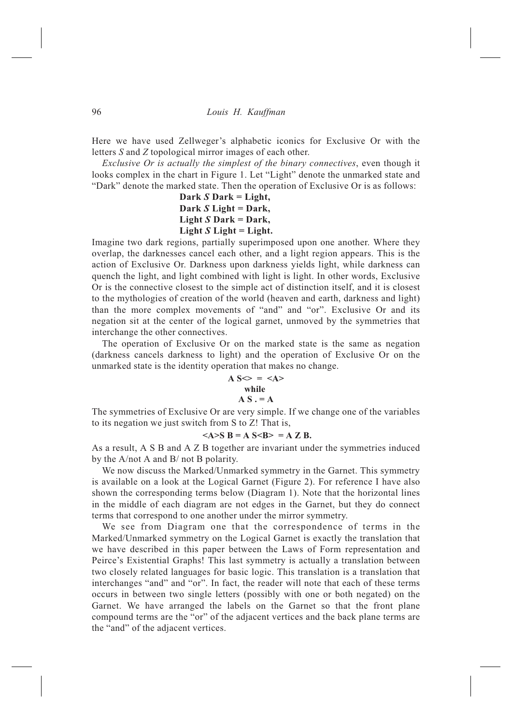Here we have used Zellweger's alphabetic iconics for Exclusive Or with the letters *S* and *Z* topological mirror images of each other.

*Exclusive Or is actually the simplest of the binary connectives*, even though it looks complex in the chart in Figure 1. Let "Light" denote the unmarked state and "Dark" denote the marked state. Then the operation of Exclusive Or is as follows:

> **Dark** *S* **Dark = Light, Dark** *S* **Light = Dark, Light** *S* **Dark = Dark,**  $Light S$   $Light = Light$ .

Imagine two dark regions, partially superimposed upon one another. Where they overlap, the darknesses cancel each other, and a light region appears. This is the action of Exclusive Or. Darkness upon darkness yields light, while darkness can quench the light, and light combined with light is light. In other words, Exclusive Or is the connective closest to the simple act of distinction itself, and it is closest to the mythologies of creation of the world (heaven and earth, darkness and light) than the more complex movements of "and" and "or". Exclusive Or and its negation sit at the center of the logical garnet, unmoved by the symmetries that interchange the other connectives.

The operation of Exclusive Or on the marked state is the same as negation (darkness cancels darkness to light) and the operation of Exclusive Or on the unmarked state is the identity operation that makes no change.

#### $\angle A$  S $\angle$  =  $\angle$ A $>$ **while AS.=A**

The symmetries of Exclusive Or are very simple. If we change one of the variables to its negation we just switch from S to Z! That is,

#### $<$ **A>S B** = **A S**<**B**> = **A Z B**.

As a result, A S B and A Z B together are invariant under the symmetries induced by the A/not A and B/ not B polarity.

We now discuss the Marked/Unmarked symmetry in the Garnet. This symmetry is available on a look at the Logical Garnet (Figure 2). For reference I have also shown the corresponding terms below (Diagram 1). Note that the horizontal lines in the middle of each diagram are not edges in the Garnet, but they do connect terms that correspond to one another under the mirror symmetry.

We see from Diagram one that the correspondence of terms in the Marked/Unmarked symmetry on the Logical Garnet is exactly the translation that we have described in this paper between the Laws of Form representation and Peirce's Existential Graphs! This last symmetry is actually a translation between two closely related languages for basic logic. This translation is a translation that interchanges "and" and "or". In fact, the reader will note that each of these terms occurs in between two single letters (possibly with one or both negated) on the Garnet. We have arranged the labels on the Garnet so that the front plane compound terms are the "or" of the adjacent vertices and the back plane terms are the "and" of the adjacent vertices.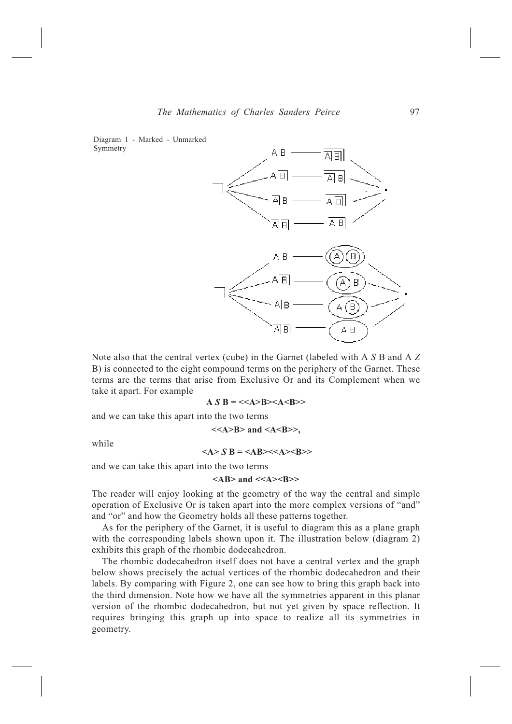Diagram 1 - Marked - Unmarked Symmetry



Note also that the central vertex (cube) in the Garnet (labeled with A *S* B and A *Z* B) is connected to the eight compound terms on the periphery of the Garnet. These terms are the terms that arise from Exclusive Or and its Complement when we take it apart. For example

$$
A S B = \langle \langle A \rangle B \rangle \langle A \langle B \rangle \rangle
$$

and we can take this apart into the two terms

### $<<$ A>B> and  $<$ A $<$ B>>.

while

#### $<$ A> $S$ **B** =  $<$ AB $>$  $<$ A $>$  $<$ B $>$

and we can take this apart into the two terms

#### $\langle AB \rangle$  and  $\langle A \rangle \langle B \rangle$

The reader will enjoy looking at the geometry of the way the central and simple operation of Exclusive Or is taken apart into the more complex versions of "and" and "or" and how the Geometry holds all these patterns together.

As for the periphery of the Garnet, it is useful to diagram this as a plane graph with the corresponding labels shown upon it. The illustration below (diagram 2) exhibits this graph of the rhombic dodecahedron.

The rhombic dodecahedron itself does not have a central vertex and the graph below shows precisely the actual vertices of the rhombic dodecahedron and their labels. By comparing with Figure 2, one can see how to bring this graph back into the third dimension. Note how we have all the symmetries apparent in this planar version of the rhombic dodecahedron, but not yet given by space reflection. It requires bringing this graph up into space to realize all its symmetries in geometry.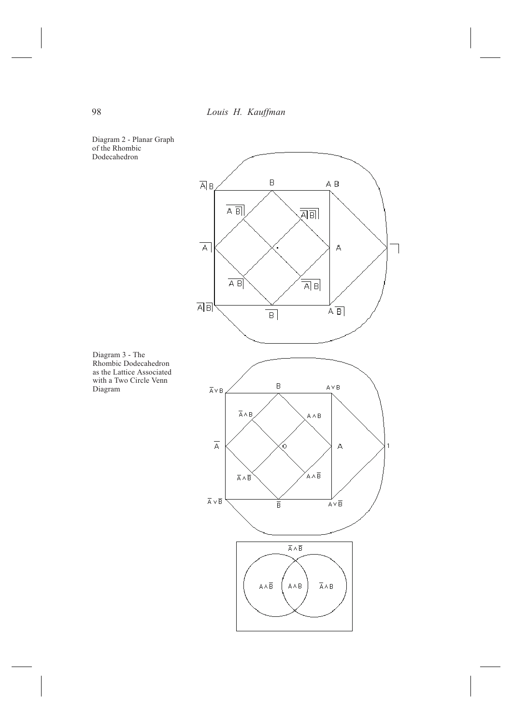Diagram 2 - Planar Graph of the Rhombic Dodecahedron

Diagram 3 - The

Diagram

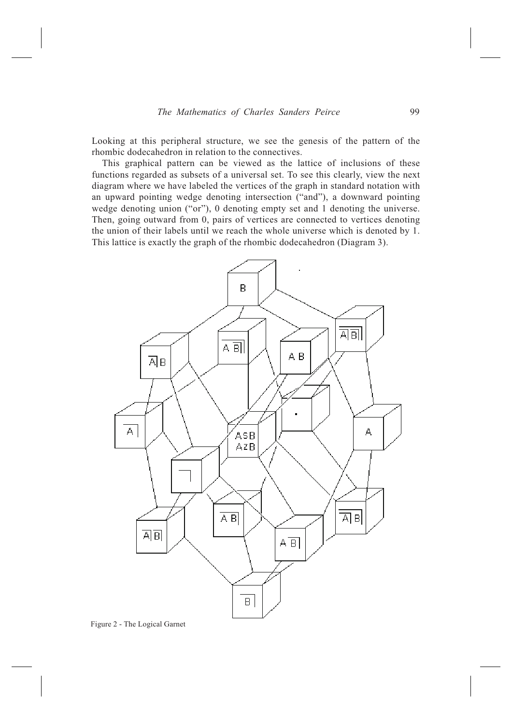Looking at this peripheral structure, we see the genesis of the pattern of the rhombic dodecahedron in relation to the connectives.

This graphical pattern can be viewed as the lattice of inclusions of these functions regarded as subsets of a universal set. To see this clearly, view the next diagram where we have labeled the vertices of the graph in standard notation with an upward pointing wedge denoting intersection ("and"), a downward pointing wedge denoting union ("or"), 0 denoting empty set and 1 denoting the universe. Then, going outward from 0, pairs of vertices are connected to vertices denoting the union of their labels until we reach the whole universe which is denoted by 1. This lattice is exactly the graph of the rhombic dodecahedron (Diagram 3).



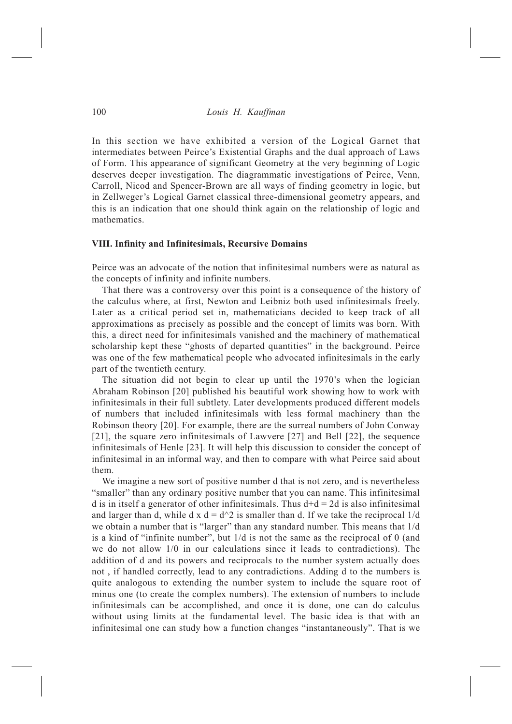In this section we have exhibited a version of the Logical Garnet that intermediates between Peirce's Existential Graphs and the dual approach of Laws of Form. This appearance of significant Geometry at the very beginning of Logic deserves deeper investigation. The diagrammatic investigations of Peirce, Venn, Carroll, Nicod and Spencer-Brown are all ways of finding geometry in logic, but in Zellweger's Logical Garnet classical three-dimensional geometry appears, and this is an indication that one should think again on the relationship of logic and mathematics.

#### **VIII. Infinity and Infinitesimals, Recursive Domains**

Peirce was an advocate of the notion that infinitesimal numbers were as natural as the concepts of infinity and infinite numbers.

That there was a controversy over this point is a consequence of the history of the calculus where, at first, Newton and Leibniz both used infinitesimals freely. Later as a critical period set in, mathematicians decided to keep track of all approximations as precisely as possible and the concept of limits was born. With this, a direct need for infinitesimals vanished and the machinery of mathematical scholarship kept these "ghosts of departed quantities" in the background. Peirce was one of the few mathematical people who advocated infinitesimals in the early part of the twentieth century.

The situation did not begin to clear up until the 1970's when the logician Abraham Robinson [20] published his beautiful work showing how to work with infinitesimals in their full subtlety. Later developments produced different models of numbers that included infinitesimals with less formal machinery than the Robinson theory [20]. For example, there are the surreal numbers of John Conway [21], the square zero infinitesimals of Lawvere [27] and Bell [22], the sequence infinitesimals of Henle [23]. It will help this discussion to consider the concept of infinitesimal in an informal way, and then to compare with what Peirce said about them.

We imagine a new sort of positive number d that is not zero, and is nevertheless "smaller" than any ordinary positive number that you can name. This infinitesimal d is in itself a generator of other infinitesimals. Thus  $d+d = 2d$  is also infinitesimal and larger than d, while d x  $d = d^2$  is smaller than d. If we take the reciprocal  $1/d$ we obtain a number that is "larger" than any standard number. This means that 1/d is a kind of "infinite number", but 1/d is not the same as the reciprocal of 0 (and we do not allow 1/0 in our calculations since it leads to contradictions). The addition of d and its powers and reciprocals to the number system actually does not , if handled correctly, lead to any contradictions. Adding d to the numbers is quite analogous to extending the number system to include the square root of minus one (to create the complex numbers). The extension of numbers to include infinitesimals can be accomplished, and once it is done, one can do calculus without using limits at the fundamental level. The basic idea is that with an infinitesimal one can study how a function changes "instantaneously". That is we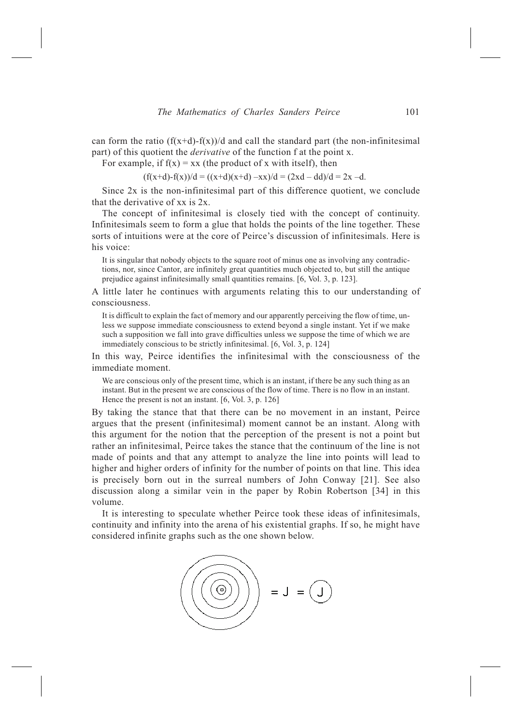can form the ratio  $(f(x+d)-f(x))/d$  and call the standard part (the non-infinitesimal part) of this quotient the *derivative* of the function f at the point x.

For example, if  $f(x) = xx$  (the product of x with itself), then

 $(f(x+d)-f(x))/d = ((x+d)(x+d) -xx)/d = (2xd - dd)/d = 2x - d.$ 

Since 2x is the non-infinitesimal part of this difference quotient, we conclude that the derivative of xx is 2x.

The concept of infinitesimal is closely tied with the concept of continuity. Infinitesimals seem to form a glue that holds the points of the line together. These sorts of intuitions were at the core of Peirce's discussion of infinitesimals. Here is his voice:

It is singular that nobody objects to the square root of minus one as involving any contradictions, nor, since Cantor, are infinitely great quantities much objected to, but still the antique prejudice against infinitesimally small quantities remains. [6, Vol. 3, p. 123].

A little later he continues with arguments relating this to our understanding of consciousness.

It is difficult to explain the fact of memory and our apparently perceiving the flow of time, unless we suppose immediate consciousness to extend beyond a single instant. Yet if we make such a supposition we fall into grave difficulties unless we suppose the time of which we are immediately conscious to be strictly infinitesimal. [6, Vol. 3, p. 124]

In this way, Peirce identifies the infinitesimal with the consciousness of the immediate moment.

We are conscious only of the present time, which is an instant, if there be any such thing as an instant. But in the present we are conscious of the flow of time. There is no flow in an instant. Hence the present is not an instant. [6, Vol. 3, p. 126]

By taking the stance that that there can be no movement in an instant, Peirce argues that the present (infinitesimal) moment cannot be an instant. Along with this argument for the notion that the perception of the present is not a point but rather an infinitesimal, Peirce takes the stance that the continuum of the line is not made of points and that any attempt to analyze the line into points will lead to higher and higher orders of infinity for the number of points on that line. This idea is precisely born out in the surreal numbers of John Conway [21]. See also discussion along a similar vein in the paper by Robin Robertson [34] in this volume.

It is interesting to speculate whether Peirce took these ideas of infinitesimals, continuity and infinity into the arena of his existential graphs. If so, he might have considered infinite graphs such as the one shown below.

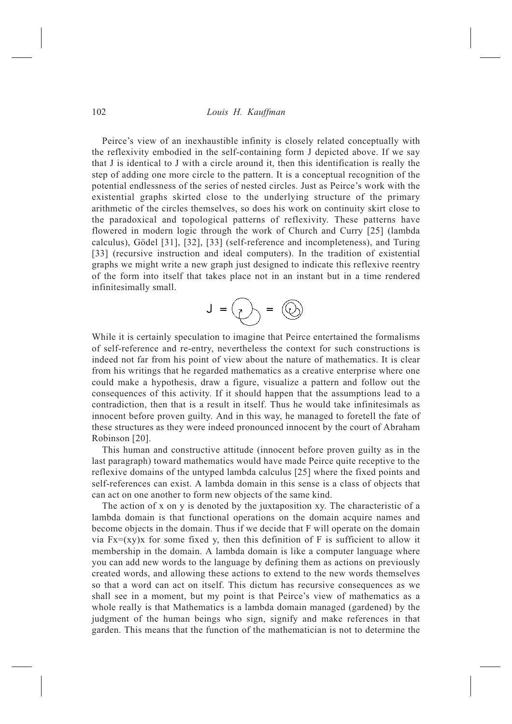Peirce's view of an inexhaustible infinity is closely related conceptually with the reflexivity embodied in the self-containing form J depicted above. If we say that J is identical to J with a circle around it, then this identification is really the step of adding one more circle to the pattern. It is a conceptual recognition of the potential endlessness of the series of nested circles. Just as Peirce's work with the existential graphs skirted close to the underlying structure of the primary arithmetic of the circles themselves, so does his work on continuity skirt close to the paradoxical and topological patterns of reflexivity. These patterns have flowered in modern logic through the work of Church and Curry [25] (lambda calculus), Gödel [31], [32], [33] (self-reference and incompleteness), and Turing [33] (recursive instruction and ideal computers). In the tradition of existential graphs we might write a new graph just designed to indicate this reflexive reentry of the form into itself that takes place not in an instant but in a time rendered infinitesimally small.

$$
J = \bigodot = \bigodot
$$

While it is certainly speculation to imagine that Peirce entertained the formalisms of self-reference and re-entry, nevertheless the context for such constructions is indeed not far from his point of view about the nature of mathematics. It is clear from his writings that he regarded mathematics as a creative enterprise where one could make a hypothesis, draw a figure, visualize a pattern and follow out the consequences of this activity. If it should happen that the assumptions lead to a contradiction, then that is a result in itself. Thus he would take infinitesimals as innocent before proven guilty. And in this way, he managed to foretell the fate of these structures as they were indeed pronounced innocent by the court of Abraham Robinson [20].

This human and constructive attitude (innocent before proven guilty as in the last paragraph) toward mathematics would have made Peirce quite receptive to the reflexive domains of the untyped lambda calculus [25] where the fixed points and self-references can exist. A lambda domain in this sense is a class of objects that can act on one another to form new objects of the same kind.

The action of x on y is denoted by the juxtaposition xy. The characteristic of a lambda domain is that functional operations on the domain acquire names and become objects in the domain. Thus if we decide that F will operate on the domain via  $Fx=(xy)x$  for some fixed y, then this definition of F is sufficient to allow it membership in the domain. A lambda domain is like a computer language where you can add new words to the language by defining them as actions on previously created words, and allowing these actions to extend to the new words themselves so that a word can act on itself. This dictum has recursive consequences as we shall see in a moment, but my point is that Peirce's view of mathematics as a whole really is that Mathematics is a lambda domain managed (gardened) by the judgment of the human beings who sign, signify and make references in that garden. This means that the function of the mathematician is not to determine the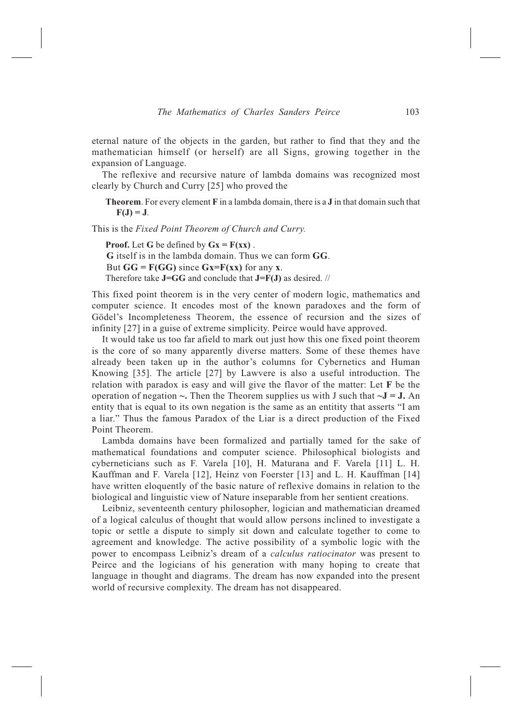eternal nature of the objects in the garden, but rather to find that they and the mathematician himself (or herself) are all Signs, growing together in the expansion of Language.

The reflexive and recursive nature of lambda domains was recognized most clearly by Church and Curry [25] who proved the

**Theorem**. For every element **F** in a lambda domain, there is a **J** in that domain such that  $F(J) = J$ .

This is the *Fixed Point Theorem of Church and Curry.*

**Proof.** Let **G** be defined by  $\mathbf{Gx} = \mathbf{F(xx)}$ . **G** itself is in the lambda domain. Thus we can form **GG**. But  $GG = F(GG)$  since  $Gx = F(xx)$  for any **x**. Therefore take **J=GG** and conclude that **J=F(J)** as desired. //

This fixed point theorem is in the very center of modern logic, mathematics and computer science. It encodes most of the known paradoxes and the form of Gödel's Incompleteness Theorem, the essence of recursion and the sizes of infinity [27] in a guise of extreme simplicity. Peirce would have approved.

It would take us too far afield to mark out just how this one fixed point theorem is the core of so many apparently diverse matters. Some of these themes have already been taken up in the author's columns for Cybernetics and Human Knowing [35]. The article [27] by Lawvere is also a useful introduction. The relation with paradox is easy and will give the flavor of the matter: Let **F** be the operation of negation  $\sim$ . Then the Theorem supplies us with J such that  $\sim$ **J** = **J**. An entity that is equal to its own negation is the same as an entitity that asserts "I am a liar." Thus the famous Paradox of the Liar is a direct production of the Fixed Point Theorem.

Lambda domains have been formalized and partially tamed for the sake of mathematical foundations and computer science. Philosophical biologists and cyberneticians such as F. Varela [10], H. Maturana and F. Varela [11] L. H. Kauffman and F. Varela [12], Heinz von Foerster [13] and L. H. Kauffman [14] have written eloquently of the basic nature of reflexive domains in relation to the biological and linguistic view of Nature inseparable from her sentient creations.

Leibniz, seventeenth century philosopher, logician and mathematician dreamed of a logical calculus of thought that would allow persons inclined to investigate a topic or settle a dispute to simply sit down and calculate together to come to agreement and knowledge. The active possibility of a symbolic logic with the power to encompass Leibniz's dream of a *calculus ratiocinator* was present to Peirce and the logicians of his generation with many hoping to create that language in thought and diagrams. The dream has now expanded into the present world of recursive complexity. The dream has not disappeared.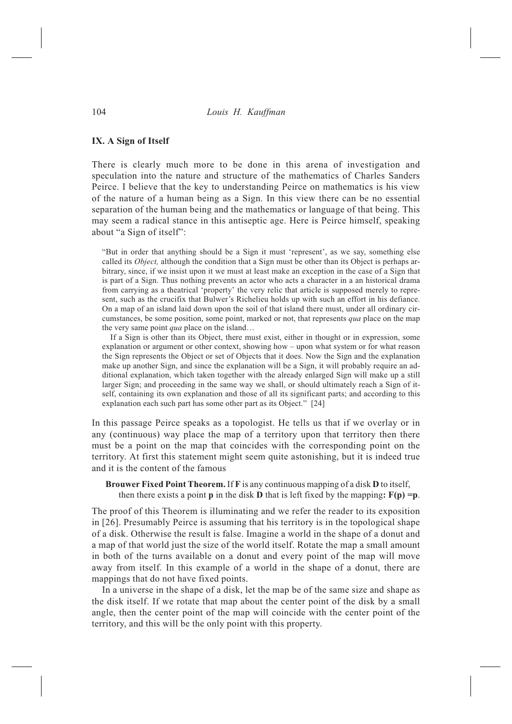### **IX. A Sign of Itself**

There is clearly much more to be done in this arena of investigation and speculation into the nature and structure of the mathematics of Charles Sanders Peirce. I believe that the key to understanding Peirce on mathematics is his view of the nature of a human being as a Sign. In this view there can be no essential separation of the human being and the mathematics or language of that being. This may seem a radical stance in this antiseptic age. Here is Peirce himself, speaking about "a Sign of itself":

"But in order that anything should be a Sign it must 'represent', as we say, something else called its *Object,* although the condition that a Sign must be other than its Object is perhaps arbitrary, since, if we insist upon it we must at least make an exception in the case of a Sign that is part of a Sign. Thus nothing prevents an actor who acts a character in a an historical drama from carrying as a theatrical 'property' the very relic that article is supposed merely to represent, such as the crucifix that Bulwer's Richelieu holds up with such an effort in his defiance. On a map of an island laid down upon the soil of that island there must, under all ordinary circumstances, be some position, some point, marked or not, that represents *qua* place on the map the very same point *qua* place on the island…

If a Sign is other than its Object, there must exist, either in thought or in expression, some explanation or argument or other context, showing how – upon what system or for what reason the Sign represents the Object or set of Objects that it does. Now the Sign and the explanation make up another Sign, and since the explanation will be a Sign, it will probably require an additional explanation, which taken together with the already enlarged Sign will make up a still larger Sign; and proceeding in the same way we shall, or should ultimately reach a Sign of itself, containing its own explanation and those of all its significant parts; and according to this explanation each such part has some other part as its Object." [24]

In this passage Peirce speaks as a topologist. He tells us that if we overlay or in any (continuous) way place the map of a territory upon that territory then there must be a point on the map that coincides with the corresponding point on the territory. At first this statement might seem quite astonishing, but it is indeed true and it is the content of the famous

### **Brouwer Fixed Point Theorem.** If **F** is any continuous mapping of a disk **D** to itself, then there exists a point **p** in the disk **D** that is left fixed by the mapping:  $\mathbf{F}(\mathbf{p}) = \mathbf{p}$ .

The proof of this Theorem is illuminating and we refer the reader to its exposition in [26]. Presumably Peirce is assuming that his territory is in the topological shape of a disk. Otherwise the result is false. Imagine a world in the shape of a donut and a map of that world just the size of the world itself. Rotate the map a small amount in both of the turns available on a donut and every point of the map will move away from itself. In this example of a world in the shape of a donut, there are mappings that do not have fixed points.

In a universe in the shape of a disk, let the map be of the same size and shape as the disk itself. If we rotate that map about the center point of the disk by a small angle, then the center point of the map will coincide with the center point of the territory, and this will be the only point with this property.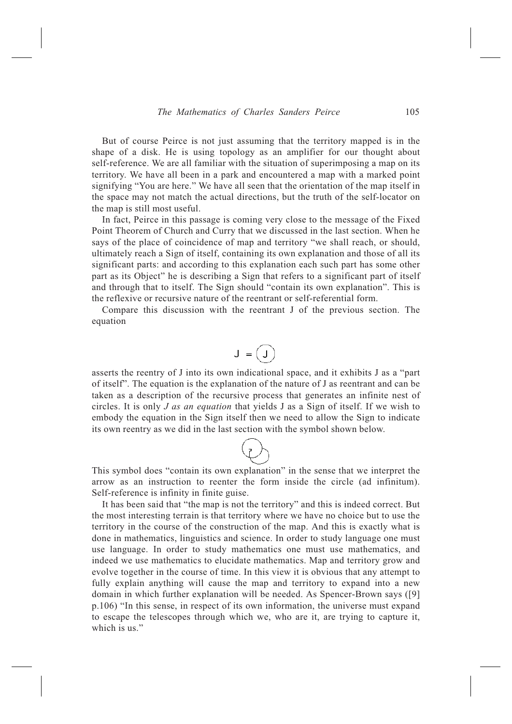But of course Peirce is not just assuming that the territory mapped is in the shape of a disk. He is using topology as an amplifier for our thought about self-reference. We are all familiar with the situation of superimposing a map on its territory. We have all been in a park and encountered a map with a marked point signifying "You are here." We have all seen that the orientation of the map itself in the space may not match the actual directions, but the truth of the self-locator on the map is still most useful.

In fact, Peirce in this passage is coming very close to the message of the Fixed Point Theorem of Church and Curry that we discussed in the last section. When he says of the place of coincidence of map and territory "we shall reach, or should, ultimately reach a Sign of itself, containing its own explanation and those of all its significant parts: and according to this explanation each such part has some other part as its Object" he is describing a Sign that refers to a significant part of itself and through that to itself. The Sign should "contain its own explanation". This is the reflexive or recursive nature of the reentrant or self-referential form.

Compare this discussion with the reentrant J of the previous section. The equation

$$
J = \bigodot
$$

asserts the reentry of J into its own indicational space, and it exhibits J as a "part of itself". The equation is the explanation of the nature of J as reentrant and can be taken as a description of the recursive process that generates an infinite nest of circles. It is only *J as an equation* that yields J as a Sign of itself. If we wish to embody the equation in the Sign itself then we need to allow the Sign to indicate its own reentry as we did in the last section with the symbol shown below.



This symbol does "contain its own explanation" in the sense that we interpret the arrow as an instruction to reenter the form inside the circle (ad infinitum). Self-reference is infinity in finite guise.

It has been said that "the map is not the territory" and this is indeed correct. But the most interesting terrain is that territory where we have no choice but to use the territory in the course of the construction of the map. And this is exactly what is done in mathematics, linguistics and science. In order to study language one must use language. In order to study mathematics one must use mathematics, and indeed we use mathematics to elucidate mathematics. Map and territory grow and evolve together in the course of time. In this view it is obvious that any attempt to fully explain anything will cause the map and territory to expand into a new domain in which further explanation will be needed. As Spencer-Brown says ([9] p.106) "In this sense, in respect of its own information, the universe must expand to escape the telescopes through which we, who are it, are trying to capture it, which is us."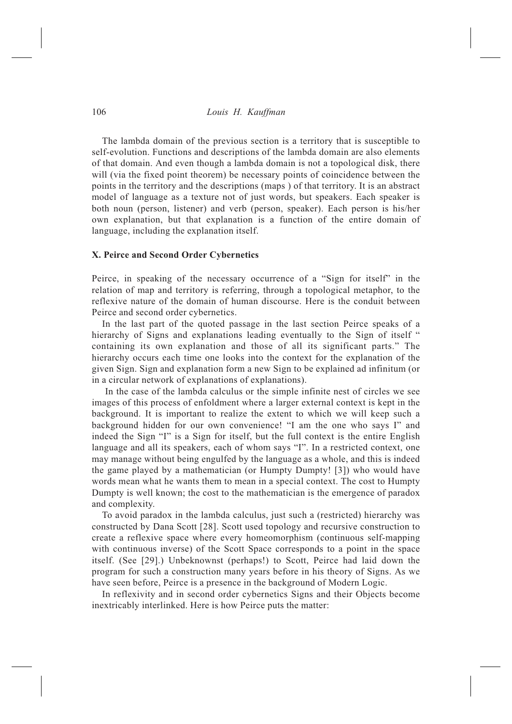The lambda domain of the previous section is a territory that is susceptible to self-evolution. Functions and descriptions of the lambda domain are also elements of that domain. And even though a lambda domain is not a topological disk, there will (via the fixed point theorem) be necessary points of coincidence between the points in the territory and the descriptions (maps ) of that territory. It is an abstract model of language as a texture not of just words, but speakers. Each speaker is both noun (person, listener) and verb (person, speaker). Each person is his/her own explanation, but that explanation is a function of the entire domain of language, including the explanation itself.

#### **X. Peirce and Second Order Cybernetics**

Peirce, in speaking of the necessary occurrence of a "Sign for itself" in the relation of map and territory is referring, through a topological metaphor, to the reflexive nature of the domain of human discourse. Here is the conduit between Peirce and second order cybernetics.

In the last part of the quoted passage in the last section Peirce speaks of a hierarchy of Signs and explanations leading eventually to the Sign of itself " containing its own explanation and those of all its significant parts." The hierarchy occurs each time one looks into the context for the explanation of the given Sign. Sign and explanation form a new Sign to be explained ad infinitum (or in a circular network of explanations of explanations).

In the case of the lambda calculus or the simple infinite nest of circles we see images of this process of enfoldment where a larger external context is kept in the background. It is important to realize the extent to which we will keep such a background hidden for our own convenience! "I am the one who says I" and indeed the Sign "I" is a Sign for itself, but the full context is the entire English language and all its speakers, each of whom says "I". In a restricted context, one may manage without being engulfed by the language as a whole, and this is indeed the game played by a mathematician (or Humpty Dumpty! [3]) who would have words mean what he wants them to mean in a special context. The cost to Humpty Dumpty is well known; the cost to the mathematician is the emergence of paradox and complexity.

To avoid paradox in the lambda calculus, just such a (restricted) hierarchy was constructed by Dana Scott [28]. Scott used topology and recursive construction to create a reflexive space where every homeomorphism (continuous self-mapping with continuous inverse) of the Scott Space corresponds to a point in the space itself. (See [29].) Unbeknownst (perhaps!) to Scott, Peirce had laid down the program for such a construction many years before in his theory of Signs. As we have seen before, Peirce is a presence in the background of Modern Logic.

In reflexivity and in second order cybernetics Signs and their Objects become inextricably interlinked. Here is how Peirce puts the matter: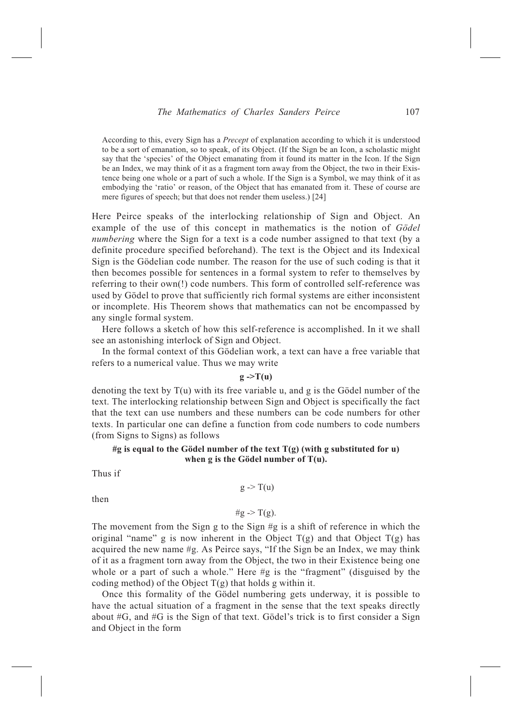According to this, every Sign has a *Precept* of explanation according to which it is understood to be a sort of emanation, so to speak, of its Object. (If the Sign be an Icon, a scholastic might say that the 'species' of the Object emanating from it found its matter in the Icon. If the Sign be an Index, we may think of it as a fragment torn away from the Object, the two in their Existence being one whole or a part of such a whole. If the Sign is a Symbol, we may think of it as embodying the 'ratio' or reason, of the Object that has emanated from it. These of course are mere figures of speech; but that does not render them useless.) [24]

Here Peirce speaks of the interlocking relationship of Sign and Object. An example of the use of this concept in mathematics is the notion of *Gödel numbering* where the Sign for a text is a code number assigned to that text (by a definite procedure specified beforehand). The text is the Object and its Indexical Sign is the Gödelian code number. The reason for the use of such coding is that it then becomes possible for sentences in a formal system to refer to themselves by referring to their own(!) code numbers. This form of controlled self-reference was used by Gödel to prove that sufficiently rich formal systems are either inconsistent or incomplete. His Theorem shows that mathematics can not be encompassed by any single formal system.

Here follows a sketch of how this self-reference is accomplished. In it we shall see an astonishing interlock of Sign and Object.

In the formal context of this Gödelian work, a text can have a free variable that refers to a numerical value. Thus we may write

#### $g \rightarrow T(u)$

denoting the text by  $T(u)$  with its free variable u, and g is the Gödel number of the text. The interlocking relationship between Sign and Object is specifically the fact that the text can use numbers and these numbers can be code numbers for other texts. In particular one can define a function from code numbers to code numbers (from Signs to Signs) as follows

## **#g is equal to the Gödel number of the text T(g) (with g substituted for u) when g is the Gödel number of T(u).**

Thus if

#### $g \rightarrow T(u)$

then

## #g  $\Rightarrow$  T(g).

The movement from the Sign g to the Sign  $\#g$  is a shift of reference in which the original "name" g is now inherent in the Object  $T(g)$  and that Object  $T(g)$  has acquired the new name #g. As Peirce says, "If the Sign be an Index, we may think of it as a fragment torn away from the Object, the two in their Existence being one whole or a part of such a whole." Here  $\#g$  is the "fragment" (disguised by the coding method) of the Object  $T(g)$  that holds g within it.

Once this formality of the Gödel numbering gets underway, it is possible to have the actual situation of a fragment in the sense that the text speaks directly about #G, and #G is the Sign of that text. Gödel's trick is to first consider a Sign and Object in the form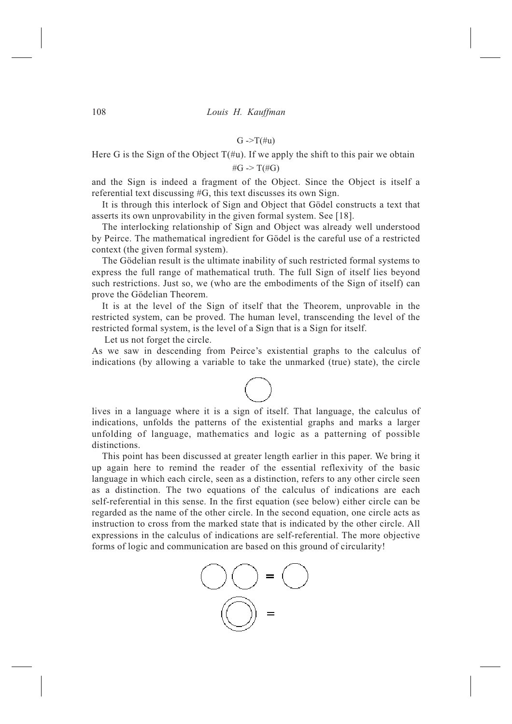#### $G = T(\#u)$

## Here G is the Sign of the Object  $T(\#u)$ . If we apply the shift to this pair we obtain # $G \rightarrow T(\#G)$

and the Sign is indeed a fragment of the Object. Since the Object is itself a referential text discussing #G, this text discusses its own Sign.

It is through this interlock of Sign and Object that Gödel constructs a text that asserts its own unprovability in the given formal system. See [18].

The interlocking relationship of Sign and Object was already well understood by Peirce. The mathematical ingredient for Gödel is the careful use of a restricted context (the given formal system).

The Gödelian result is the ultimate inability of such restricted formal systems to express the full range of mathematical truth. The full Sign of itself lies beyond such restrictions. Just so, we (who are the embodiments of the Sign of itself) can prove the Gödelian Theorem.

It is at the level of the Sign of itself that the Theorem, unprovable in the restricted system, can be proved. The human level, transcending the level of the restricted formal system, is the level of a Sign that is a Sign for itself.

Let us not forget the circle.

As we saw in descending from Peirce's existential graphs to the calculus of indications (by allowing a variable to take the unmarked (true) state), the circle



lives in a language where it is a sign of itself. That language, the calculus of indications, unfolds the patterns of the existential graphs and marks a larger unfolding of language, mathematics and logic as a patterning of possible distinctions.

This point has been discussed at greater length earlier in this paper. We bring it up again here to remind the reader of the essential reflexivity of the basic language in which each circle, seen as a distinction, refers to any other circle seen as a distinction. The two equations of the calculus of indications are each self-referential in this sense. In the first equation (see below) either circle can be regarded as the name of the other circle. In the second equation, one circle acts as instruction to cross from the marked state that is indicated by the other circle. All expressions in the calculus of indications are self-referential. The more objective forms of logic and communication are based on this ground of circularity!

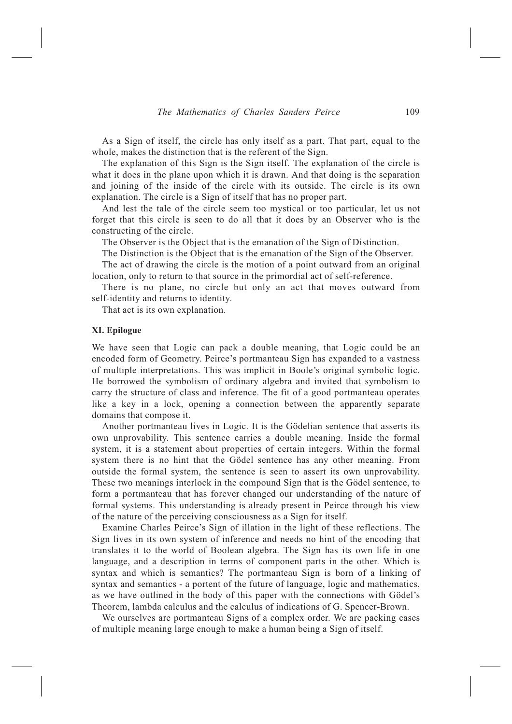As a Sign of itself, the circle has only itself as a part. That part, equal to the whole, makes the distinction that is the referent of the Sign.

The explanation of this Sign is the Sign itself. The explanation of the circle is what it does in the plane upon which it is drawn. And that doing is the separation and joining of the inside of the circle with its outside. The circle is its own explanation. The circle is a Sign of itself that has no proper part.

And lest the tale of the circle seem too mystical or too particular, let us not forget that this circle is seen to do all that it does by an Observer who is the constructing of the circle.

The Observer is the Object that is the emanation of the Sign of Distinction.

The Distinction is the Object that is the emanation of the Sign of the Observer.

The act of drawing the circle is the motion of a point outward from an original location, only to return to that source in the primordial act of self-reference.

There is no plane, no circle but only an act that moves outward from self-identity and returns to identity.

That act is its own explanation.

#### **XI. Epilogue**

We have seen that Logic can pack a double meaning, that Logic could be an encoded form of Geometry. Peirce's portmanteau Sign has expanded to a vastness of multiple interpretations. This was implicit in Boole's original symbolic logic. He borrowed the symbolism of ordinary algebra and invited that symbolism to carry the structure of class and inference. The fit of a good portmanteau operates like a key in a lock, opening a connection between the apparently separate domains that compose it.

Another portmanteau lives in Logic. It is the Gödelian sentence that asserts its own unprovability. This sentence carries a double meaning. Inside the formal system, it is a statement about properties of certain integers. Within the formal system there is no hint that the Gödel sentence has any other meaning. From outside the formal system, the sentence is seen to assert its own unprovability. These two meanings interlock in the compound Sign that is the Gödel sentence, to form a portmanteau that has forever changed our understanding of the nature of formal systems. This understanding is already present in Peirce through his view of the nature of the perceiving consciousness as a Sign for itself.

Examine Charles Peirce's Sign of illation in the light of these reflections. The Sign lives in its own system of inference and needs no hint of the encoding that translates it to the world of Boolean algebra. The Sign has its own life in one language, and a description in terms of component parts in the other. Which is syntax and which is semantics? The portmanteau Sign is born of a linking of syntax and semantics - a portent of the future of language, logic and mathematics, as we have outlined in the body of this paper with the connections with Gödel's Theorem, lambda calculus and the calculus of indications of G. Spencer-Brown.

We ourselves are portmanteau Signs of a complex order. We are packing cases of multiple meaning large enough to make a human being a Sign of itself.